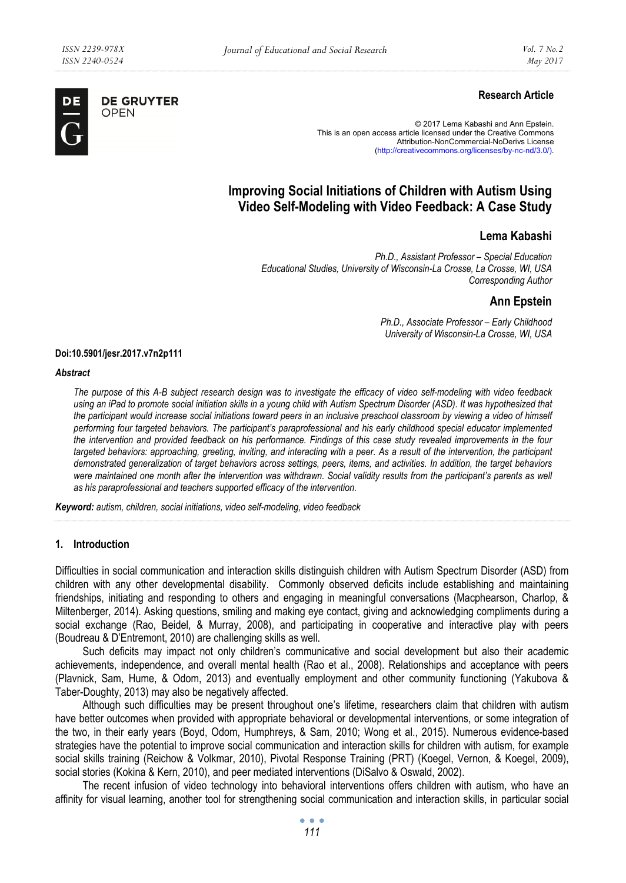# **Research Article**

DE **DE GRUYTER** OPEN

© 2017 Lema Kabashi and Ann Epstein. This is an open access article licensed under the Creative Commons Attribution-NonCommercial-NoDerivs License (http://creativecommons.org/licenses/by-nc-nd/3.0/).

# **Improving Social Initiations of Children with Autism Using Video Self-Modeling with Video Feedback: A Case Study**

# **Lema Kabashi**

*Ph.D., Assistant Professor – Special Education Educational Studies, University of Wisconsin-La Crosse, La Crosse, WI, USA Corresponding Author* 

### **Ann Epstein**

*Ph.D., Associate Professor – Early Childhood University of Wisconsin-La Crosse, WI, USA* 

#### **Doi:10.5901/jesr.2017.v7n2p111**

#### *Abstract*

*The purpose of this A-B subject research design was to investigate the efficacy of video self-modeling with video feedback*  using an iPad to promote social initiation skills in a young child with Autism Spectrum Disorder (ASD). It was hypothesized that the participant would increase social initiations toward peers in an inclusive preschool classroom by viewing a video of himself *performing four targeted behaviors. The participant's paraprofessional and his early childhood special educator implemented the intervention and provided feedback on his performance. Findings of this case study revealed improvements in the four targeted behaviors: approaching, greeting, inviting, and interacting with a peer. As a result of the intervention, the participant demonstrated generalization of target behaviors across settings, peers, items, and activities. In addition, the target behaviors*  were maintained one month after the intervention was withdrawn. Social validity results from the participant's parents as well *as his paraprofessional and teachers supported efficacy of the intervention.* 

*Keyword: autism, children, social initiations, video self-modeling, video feedback* 

### **1. Introduction**

Difficulties in social communication and interaction skills distinguish children with Autism Spectrum Disorder (ASD) from children with any other developmental disability. Commonly observed deficits include establishing and maintaining friendships, initiating and responding to others and engaging in meaningful conversations (Macphearson, Charlop, & Miltenberger, 2014). Asking questions, smiling and making eye contact, giving and acknowledging compliments during a social exchange (Rao, Beidel, & Murray, 2008), and participating in cooperative and interactive play with peers (Boudreau & D'Entremont, 2010) are challenging skills as well.

Such deficits may impact not only children's communicative and social development but also their academic achievements, independence, and overall mental health (Rao et al., 2008). Relationships and acceptance with peers (Plavnick, Sam, Hume, & Odom, 2013) and eventually employment and other community functioning (Yakubova & Taber-Doughty, 2013) may also be negatively affected.

Although such difficulties may be present throughout one's lifetime, researchers claim that children with autism have better outcomes when provided with appropriate behavioral or developmental interventions, or some integration of the two, in their early years (Boyd, Odom, Humphreys, & Sam, 2010; Wong et al., 2015). Numerous evidence-based strategies have the potential to improve social communication and interaction skills for children with autism, for example social skills training (Reichow & Volkmar, 2010), Pivotal Response Training (PRT) (Koegel, Vernon, & Koegel, 2009), social stories (Kokina & Kern, 2010), and peer mediated interventions (DiSalvo & Oswald, 2002).

The recent infusion of video technology into behavioral interventions offers children with autism, who have an affinity for visual learning, another tool for strengthening social communication and interaction skills, in particular social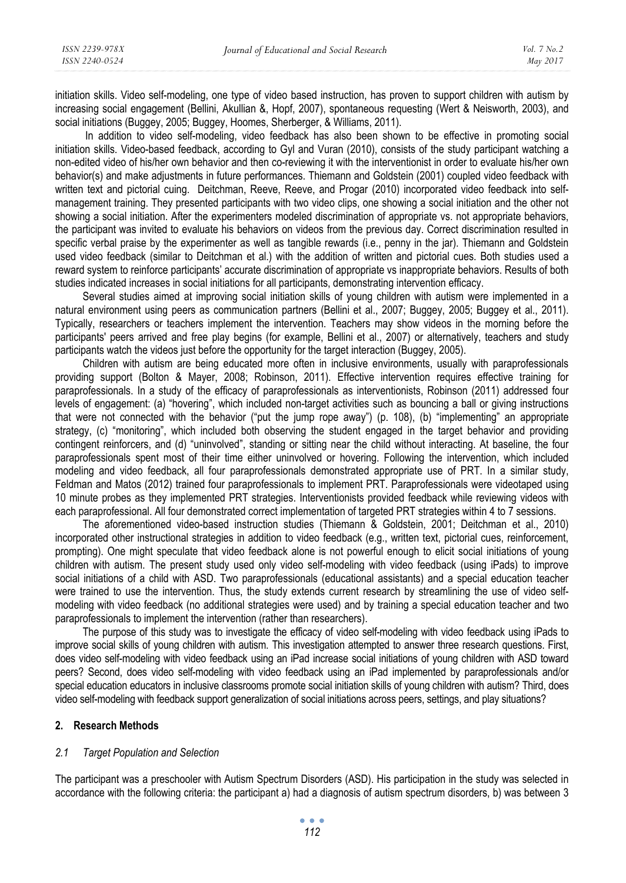initiation skills. Video self-modeling, one type of video based instruction, has proven to support children with autism by increasing social engagement (Bellini, Akullian &, Hopf, 2007), spontaneous requesting (Wert & Neisworth, 2003), and social initiations (Buggey, 2005; Buggey, Hoomes, Sherberger, & Williams, 2011).

 In addition to video self-modeling, video feedback has also been shown to be effective in promoting social initiation skills. Video-based feedback, according to Gyl and Vuran (2010), consists of the study participant watching a non-edited video of his/her own behavior and then co-reviewing it with the interventionist in order to evaluate his/her own behavior(s) and make adjustments in future performances. Thiemann and Goldstein (2001) coupled video feedback with written text and pictorial cuing. Deitchman, Reeve, Reeve, and Progar (2010) incorporated video feedback into selfmanagement training. They presented participants with two video clips, one showing a social initiation and the other not showing a social initiation. After the experimenters modeled discrimination of appropriate vs. not appropriate behaviors, the participant was invited to evaluate his behaviors on videos from the previous day. Correct discrimination resulted in specific verbal praise by the experimenter as well as tangible rewards (i.e., penny in the jar). Thiemann and Goldstein used video feedback (similar to Deitchman et al.) with the addition of written and pictorial cues. Both studies used a reward system to reinforce participants' accurate discrimination of appropriate vs inappropriate behaviors. Results of both studies indicated increases in social initiations for all participants, demonstrating intervention efficacy.

Several studies aimed at improving social initiation skills of young children with autism were implemented in a natural environment using peers as communication partners (Bellini et al., 2007; Buggey, 2005; Buggey et al., 2011). Typically, researchers or teachers implement the intervention. Teachers may show videos in the morning before the participants' peers arrived and free play begins (for example, Bellini et al., 2007) or alternatively, teachers and study participants watch the videos just before the opportunity for the target interaction (Buggey, 2005).

Children with autism are being educated more often in inclusive environments, usually with paraprofessionals providing support (Bolton & Mayer, 2008; Robinson, 2011). Effective intervention requires effective training for paraprofessionals. In a study of the efficacy of paraprofessionals as interventionists, Robinson (2011) addressed four levels of engagement: (a) "hovering", which included non-target activities such as bouncing a ball or giving instructions that were not connected with the behavior ("put the jump rope away") (p. 108), (b) "implementing" an appropriate strategy, (c) "monitoring", which included both observing the student engaged in the target behavior and providing contingent reinforcers, and (d) "uninvolved", standing or sitting near the child without interacting. At baseline, the four paraprofessionals spent most of their time either uninvolved or hovering. Following the intervention, which included modeling and video feedback, all four paraprofessionals demonstrated appropriate use of PRT. In a similar study, Feldman and Matos (2012) trained four paraprofessionals to implement PRT. Paraprofessionals were videotaped using 10 minute probes as they implemented PRT strategies. Interventionists provided feedback while reviewing videos with each paraprofessional. All four demonstrated correct implementation of targeted PRT strategies within 4 to 7 sessions.

The aforementioned video-based instruction studies (Thiemann & Goldstein, 2001; Deitchman et al., 2010) incorporated other instructional strategies in addition to video feedback (e.g., written text, pictorial cues, reinforcement, prompting). One might speculate that video feedback alone is not powerful enough to elicit social initiations of young children with autism. The present study used only video self-modeling with video feedback (using iPads) to improve social initiations of a child with ASD. Two paraprofessionals (educational assistants) and a special education teacher were trained to use the intervention. Thus, the study extends current research by streamlining the use of video selfmodeling with video feedback (no additional strategies were used) and by training a special education teacher and two paraprofessionals to implement the intervention (rather than researchers).

The purpose of this study was to investigate the efficacy of video self-modeling with video feedback using iPads to improve social skills of young children with autism. This investigation attempted to answer three research questions. First, does video self-modeling with video feedback using an iPad increase social initiations of young children with ASD toward peers? Second, does video self-modeling with video feedback using an iPad implemented by paraprofessionals and/or special education educators in inclusive classrooms promote social initiation skills of young children with autism? Third, does video self-modeling with feedback support generalization of social initiations across peers, settings, and play situations?

### **2. Research Methods**

### *2.1 Target Population and Selection*

The participant was a preschooler with Autism Spectrum Disorders (ASD). His participation in the study was selected in accordance with the following criteria: the participant a) had a diagnosis of autism spectrum disorders, b) was between 3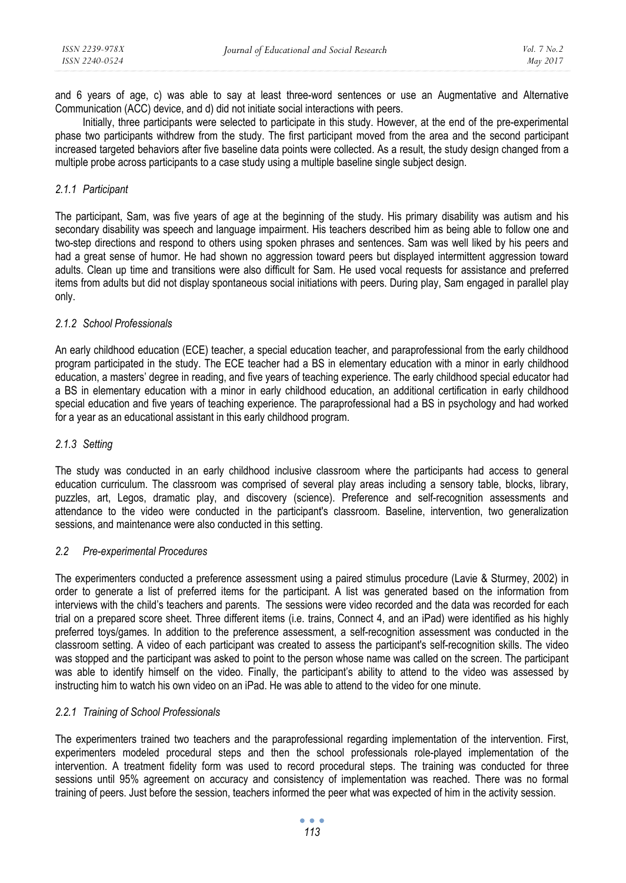and 6 years of age, c) was able to say at least three-word sentences or use an Augmentative and Alternative Communication (ACC) device, and d) did not initiate social interactions with peers.

Initially, three participants were selected to participate in this study. However, at the end of the pre-experimental phase two participants withdrew from the study. The first participant moved from the area and the second participant increased targeted behaviors after five baseline data points were collected. As a result, the study design changed from a multiple probe across participants to a case study using a multiple baseline single subject design.

#### *2.1.1 Participant*

The participant, Sam, was five years of age at the beginning of the study. His primary disability was autism and his secondary disability was speech and language impairment. His teachers described him as being able to follow one and two-step directions and respond to others using spoken phrases and sentences. Sam was well liked by his peers and had a great sense of humor. He had shown no aggression toward peers but displayed intermittent aggression toward adults. Clean up time and transitions were also difficult for Sam. He used vocal requests for assistance and preferred items from adults but did not display spontaneous social initiations with peers. During play, Sam engaged in parallel play only.

#### *2.1.2 School Professionals*

An early childhood education (ECE) teacher, a special education teacher, and paraprofessional from the early childhood program participated in the study. The ECE teacher had a BS in elementary education with a minor in early childhood education, a masters' degree in reading, and five years of teaching experience. The early childhood special educator had a BS in elementary education with a minor in early childhood education, an additional certification in early childhood special education and five years of teaching experience. The paraprofessional had a BS in psychology and had worked for a year as an educational assistant in this early childhood program.

#### *2.1.3 Setting*

The study was conducted in an early childhood inclusive classroom where the participants had access to general education curriculum. The classroom was comprised of several play areas including a sensory table, blocks, library, puzzles, art, Legos, dramatic play, and discovery (science). Preference and self-recognition assessments and attendance to the video were conducted in the participant's classroom. Baseline, intervention, two generalization sessions, and maintenance were also conducted in this setting.

## *2.2 Pre-experimental Procedures*

The experimenters conducted a preference assessment using a paired stimulus procedure (Lavie & Sturmey, 2002) in order to generate a list of preferred items for the participant. A list was generated based on the information from interviews with the child's teachers and parents. The sessions were video recorded and the data was recorded for each trial on a prepared score sheet. Three different items (i.e. trains, Connect 4, and an iPad) were identified as his highly preferred toys/games. In addition to the preference assessment, a self-recognition assessment was conducted in the classroom setting. A video of each participant was created to assess the participant's self-recognition skills. The video was stopped and the participant was asked to point to the person whose name was called on the screen. The participant was able to identify himself on the video. Finally, the participant's ability to attend to the video was assessed by instructing him to watch his own video on an iPad. He was able to attend to the video for one minute.

### *2.2.1 Training of School Professionals*

The experimenters trained two teachers and the paraprofessional regarding implementation of the intervention. First, experimenters modeled procedural steps and then the school professionals role-played implementation of the intervention. A treatment fidelity form was used to record procedural steps. The training was conducted for three sessions until 95% agreement on accuracy and consistency of implementation was reached. There was no formal training of peers. Just before the session, teachers informed the peer what was expected of him in the activity session.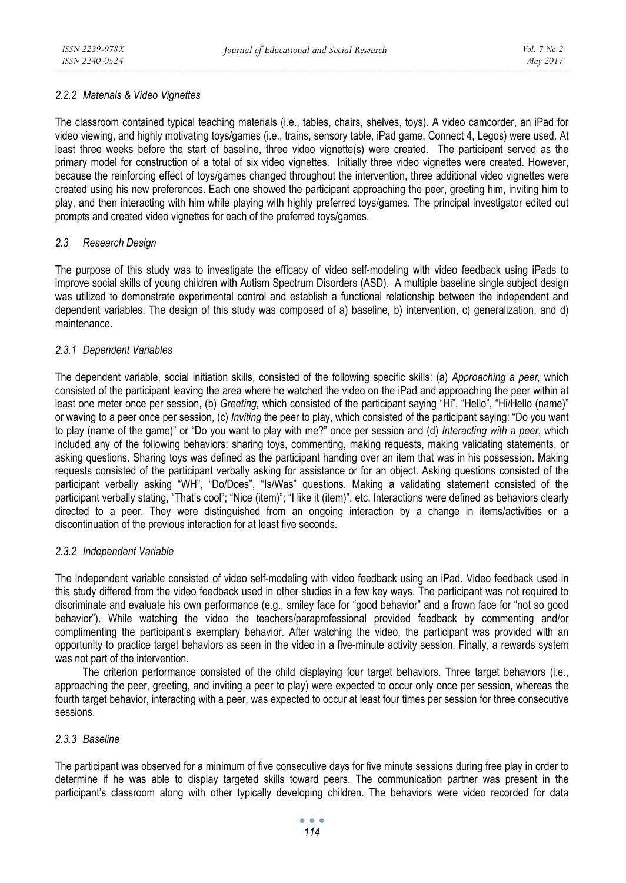# *2.2.2 Materials & Video Vignettes*

The classroom contained typical teaching materials (i.e., tables, chairs, shelves, toys). A video camcorder, an iPad for video viewing, and highly motivating toys/games (i.e., trains, sensory table, iPad game, Connect 4, Legos) were used. At least three weeks before the start of baseline, three video vignette(s) were created. The participant served as the primary model for construction of a total of six video vignettes. Initially three video vignettes were created. However, because the reinforcing effect of toys/games changed throughout the intervention, three additional video vignettes were created using his new preferences. Each one showed the participant approaching the peer, greeting him, inviting him to play, and then interacting with him while playing with highly preferred toys/games. The principal investigator edited out prompts and created video vignettes for each of the preferred toys/games.

# *2.3 Research Design*

The purpose of this study was to investigate the efficacy of video self-modeling with video feedback using iPads to improve social skills of young children with Autism Spectrum Disorders (ASD). A multiple baseline single subject design was utilized to demonstrate experimental control and establish a functional relationship between the independent and dependent variables. The design of this study was composed of a) baseline, b) intervention, c) generalization, and d) maintenance.

# *2.3.1 Dependent Variables*

The dependent variable, social initiation skills, consisted of the following specific skills: (a) *Approaching a peer,* which consisted of the participant leaving the area where he watched the video on the iPad and approaching the peer within at least one meter once per session, (b) *Greeting,* which consisted of the participant saying "Hi", "Hello", "Hi/Hello (name)" or waving to a peer once per session, (c) *Inviting* the peer to play, which consisted of the participant saying: "Do you want to play (name of the game)" or "Do you want to play with me?" once per session and (d) *Interacting with a peer*, which included any of the following behaviors: sharing toys, commenting, making requests, making validating statements, or asking questions. Sharing toys was defined as the participant handing over an item that was in his possession. Making requests consisted of the participant verbally asking for assistance or for an object. Asking questions consisted of the participant verbally asking "WH", "Do/Does", "Is/Was" questions. Making a validating statement consisted of the participant verbally stating, "That's cool"; "Nice (item)"; "I like it (item)", etc. Interactions were defined as behaviors clearly directed to a peer. They were distinguished from an ongoing interaction by a change in items/activities or a discontinuation of the previous interaction for at least five seconds.

# *2.3.2 Independent Variable*

The independent variable consisted of video self-modeling with video feedback using an iPad. Video feedback used in this study differed from the video feedback used in other studies in a few key ways. The participant was not required to discriminate and evaluate his own performance (e.g., smiley face for "good behavior" and a frown face for "not so good behavior"). While watching the video the teachers/paraprofessional provided feedback by commenting and/or complimenting the participant's exemplary behavior. After watching the video, the participant was provided with an opportunity to practice target behaviors as seen in the video in a five-minute activity session. Finally, a rewards system was not part of the intervention.

The criterion performance consisted of the child displaying four target behaviors. Three target behaviors (i.e., approaching the peer, greeting, and inviting a peer to play) were expected to occur only once per session, whereas the fourth target behavior, interacting with a peer, was expected to occur at least four times per session for three consecutive sessions.

### *2.3.3 Baseline*

The participant was observed for a minimum of five consecutive days for five minute sessions during free play in order to determine if he was able to display targeted skills toward peers. The communication partner was present in the participant's classroom along with other typically developing children. The behaviors were video recorded for data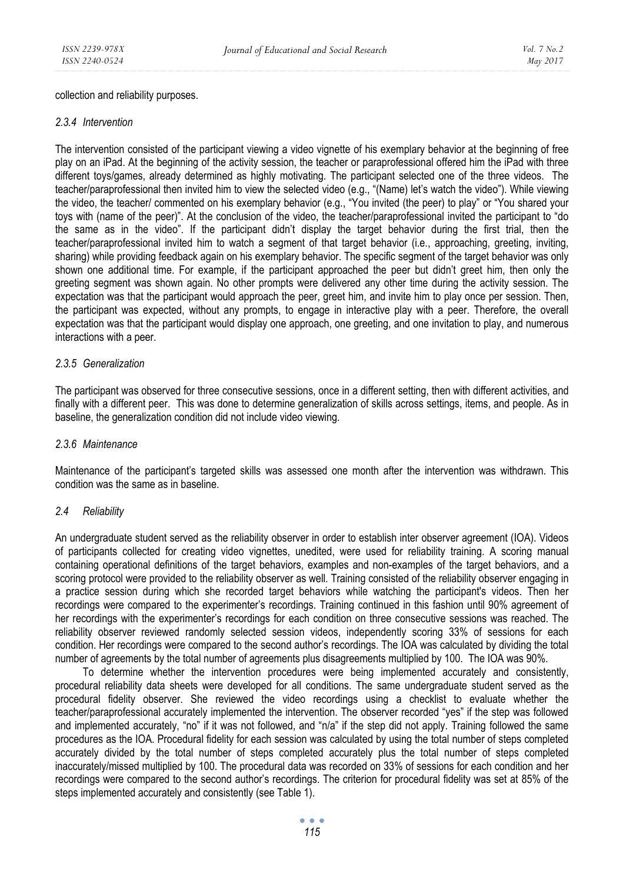collection and reliability purposes.

#### *2.3.4 Intervention*

The intervention consisted of the participant viewing a video vignette of his exemplary behavior at the beginning of free play on an iPad. At the beginning of the activity session, the teacher or paraprofessional offered him the iPad with three different toys/games, already determined as highly motivating. The participant selected one of the three videos. The teacher/paraprofessional then invited him to view the selected video (e.g., "(Name) let's watch the video"). While viewing the video, the teacher/ commented on his exemplary behavior (e.g., "You invited (the peer) to play" or "You shared your toys with (name of the peer)". At the conclusion of the video, the teacher/paraprofessional invited the participant to "do the same as in the video". If the participant didn't display the target behavior during the first trial, then the teacher/paraprofessional invited him to watch a segment of that target behavior (i.e., approaching, greeting, inviting, sharing) while providing feedback again on his exemplary behavior. The specific segment of the target behavior was only shown one additional time. For example, if the participant approached the peer but didn't greet him, then only the greeting segment was shown again. No other prompts were delivered any other time during the activity session. The expectation was that the participant would approach the peer, greet him, and invite him to play once per session. Then, the participant was expected, without any prompts, to engage in interactive play with a peer. Therefore, the overall expectation was that the participant would display one approach, one greeting, and one invitation to play, and numerous interactions with a peer.

### *2.3.5 Generalization*

The participant was observed for three consecutive sessions, once in a different setting, then with different activities, and finally with a different peer. This was done to determine generalization of skills across settings, items, and people. As in baseline, the generalization condition did not include video viewing.

#### *2.3.6 Maintenance*

Maintenance of the participant's targeted skills was assessed one month after the intervention was withdrawn. This condition was the same as in baseline.

### *2.4 Reliability*

An undergraduate student served as the reliability observer in order to establish inter observer agreement (IOA). Videos of participants collected for creating video vignettes, unedited, were used for reliability training. A scoring manual containing operational definitions of the target behaviors, examples and non-examples of the target behaviors, and a scoring protocol were provided to the reliability observer as well. Training consisted of the reliability observer engaging in a practice session during which she recorded target behaviors while watching the participant's videos. Then her recordings were compared to the experimenter's recordings. Training continued in this fashion until 90% agreement of her recordings with the experimenter's recordings for each condition on three consecutive sessions was reached. The reliability observer reviewed randomly selected session videos, independently scoring 33% of sessions for each condition. Her recordings were compared to the second author's recordings. The IOA was calculated by dividing the total number of agreements by the total number of agreements plus disagreements multiplied by 100. The IOA was 90%.

To determine whether the intervention procedures were being implemented accurately and consistently, procedural reliability data sheets were developed for all conditions. The same undergraduate student served as the procedural fidelity observer. She reviewed the video recordings using a checklist to evaluate whether the teacher/paraprofessional accurately implemented the intervention. The observer recorded "yes" if the step was followed and implemented accurately, "no" if it was not followed, and "n/a" if the step did not apply. Training followed the same procedures as the IOA. Procedural fidelity for each session was calculated by using the total number of steps completed accurately divided by the total number of steps completed accurately plus the total number of steps completed inaccurately/missed multiplied by 100. The procedural data was recorded on 33% of sessions for each condition and her recordings were compared to the second author's recordings. The criterion for procedural fidelity was set at 85% of the steps implemented accurately and consistently (see Table 1).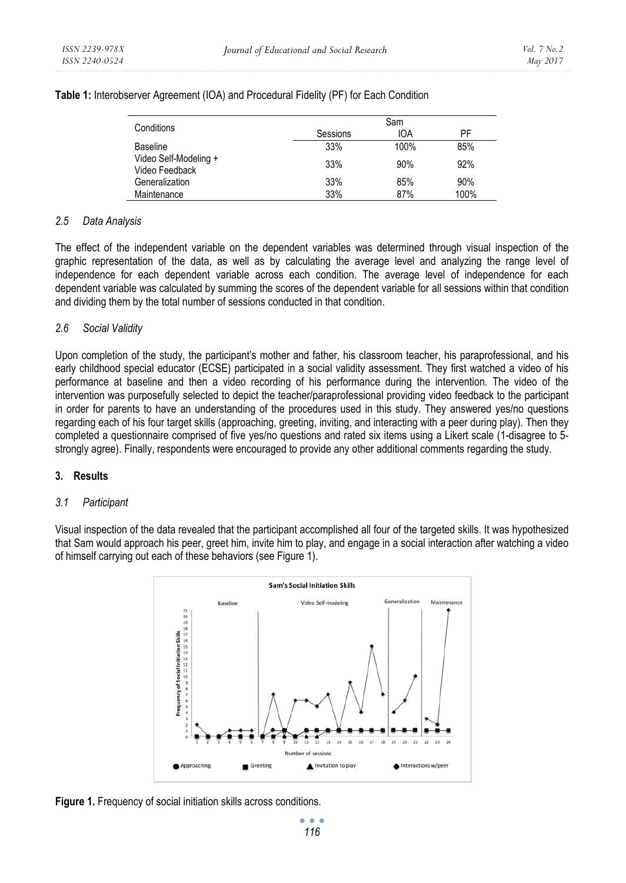### **Table 1:** Interobserver Agreement (IOA) and Procedural Fidelity (PF) for Each Condition

| Conditions<br><b>Baseline</b><br>Video Self-Modeling +<br>Video Feedback<br>Generalization | Sam      |      |      |  |
|--------------------------------------------------------------------------------------------|----------|------|------|--|
|                                                                                            | Sessions | IOA  | PF   |  |
|                                                                                            | 33%      | 100% | 85%  |  |
|                                                                                            | 33%      | 90%  | 92%  |  |
|                                                                                            | 33%      | 85%  | 90%  |  |
| Maintenance                                                                                | 33%      | 87%  | 100% |  |

#### *2.5 Data Analysis*

The effect of the independent variable on the dependent variables was determined through visual inspection of the graphic representation of the data, as well as by calculating the average level and analyzing the range level of independence for each dependent variable across each condition. The average level of independence for each dependent variable was calculated by summing the scores of the dependent variable for all sessions within that condition and dividing them by the total number of sessions conducted in that condition.

#### *2.6 Social Validity*

Upon completion of the study, the participant's mother and father, his classroom teacher, his paraprofessional, and his early childhood special educator (ECSE) participated in a social validity assessment. They first watched a video of his performance at baseline and then a video recording of his performance during the intervention. The video of the intervention was purposefully selected to depict the teacher/paraprofessional providing video feedback to the participant in order for parents to have an understanding of the procedures used in this study. They answered yes/no questions regarding each of his four target skills (approaching, greeting, inviting, and interacting with a peer during play). Then they completed a questionnaire comprised of five yes/no questions and rated six items using a Likert scale (1-disagree to 5 strongly agree). Finally, respondents were encouraged to provide any other additional comments regarding the study.

### **3. Results**

#### *3.1 Participant*

Visual inspection of the data revealed that the participant accomplished all four of the targeted skills. It was hypothesized that Sam would approach his peer, greet him, invite him to play, and engage in a social interaction after watching a video of himself carrying out each of these behaviors (see Figure 1).



**Figure 1.** Frequency of social initiation skills across conditions.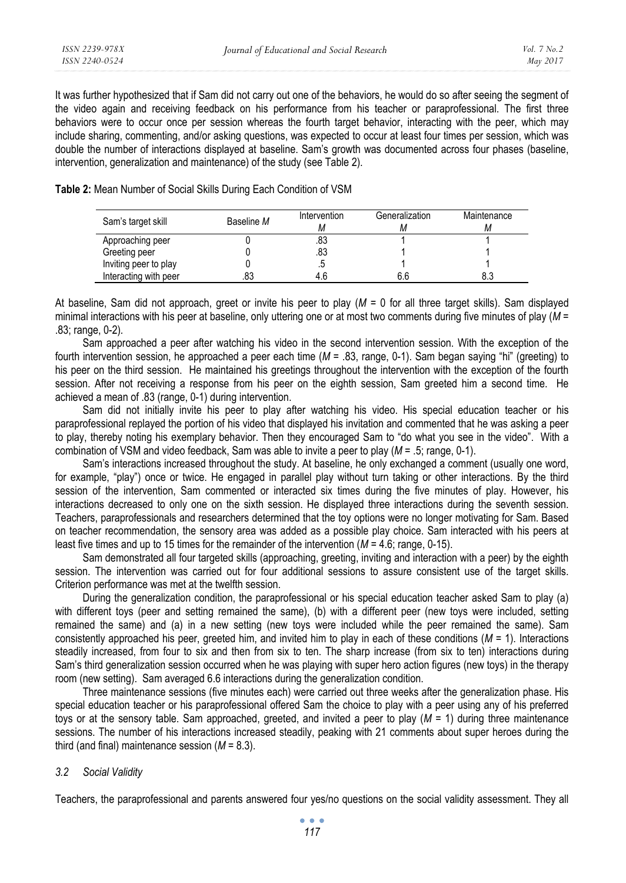It was further hypothesized that if Sam did not carry out one of the behaviors, he would do so after seeing the segment of the video again and receiving feedback on his performance from his teacher or paraprofessional. The first three behaviors were to occur once per session whereas the fourth target behavior, interacting with the peer, which may include sharing, commenting, and/or asking questions, was expected to occur at least four times per session, which was double the number of interactions displayed at baseline. Sam's growth was documented across four phases (baseline, intervention, generalization and maintenance) of the study (see Table 2).

**Table 2:** Mean Number of Social Skills During Each Condition of VSM

| Sam's target skill    | Baseline M | <b>Intervention</b> | Generalization | Maintenance |
|-----------------------|------------|---------------------|----------------|-------------|
| Approaching peer      |            | .83                 |                |             |
| Greeting peer         |            | .83                 |                |             |
| Inviting peer to play |            |                     |                |             |
| Interacting with peer | .83        |                     |                | 0.ა         |

At baseline, Sam did not approach, greet or invite his peer to play (*M* = 0 for all three target skills). Sam displayed minimal interactions with his peer at baseline, only uttering one or at most two comments during five minutes of play (*M =*  .83; range, 0-2)*.*

Sam approached a peer after watching his video in the second intervention session. With the exception of the fourth intervention session, he approached a peer each time (*M* = .83, range, 0-1). Sam began saying "hi" (greeting) to his peer on the third session. He maintained his greetings throughout the intervention with the exception of the fourth session. After not receiving a response from his peer on the eighth session, Sam greeted him a second time. He achieved a mean of .83 (range, 0-1) during intervention.

Sam did not initially invite his peer to play after watching his video. His special education teacher or his paraprofessional replayed the portion of his video that displayed his invitation and commented that he was asking a peer to play, thereby noting his exemplary behavior. Then they encouraged Sam to "do what you see in the video". With a combination of VSM and video feedback, Sam was able to invite a peer to play (*M* = .5; range, 0-1).

Sam's interactions increased throughout the study. At baseline, he only exchanged a comment (usually one word, for example, "play") once or twice. He engaged in parallel play without turn taking or other interactions. By the third session of the intervention, Sam commented or interacted six times during the five minutes of play. However, his interactions decreased to only one on the sixth session. He displayed three interactions during the seventh session. Teachers, paraprofessionals and researchers determined that the toy options were no longer motivating for Sam. Based on teacher recommendation, the sensory area was added as a possible play choice. Sam interacted with his peers at least five times and up to 15 times for the remainder of the intervention (*M* = 4.6; range, 0-15).

Sam demonstrated all four targeted skills (approaching, greeting, inviting and interaction with a peer) by the eighth session. The intervention was carried out for four additional sessions to assure consistent use of the target skills. Criterion performance was met at the twelfth session.

During the generalization condition, the paraprofessional or his special education teacher asked Sam to play (a) with different toys (peer and setting remained the same), (b) with a different peer (new toys were included, setting remained the same) and (a) in a new setting (new toys were included while the peer remained the same). Sam consistently approached his peer, greeted him, and invited him to play in each of these conditions (*M* = 1). Interactions steadily increased, from four to six and then from six to ten. The sharp increase (from six to ten) interactions during Sam's third generalization session occurred when he was playing with super hero action figures (new toys) in the therapy room (new setting). Sam averaged 6.6 interactions during the generalization condition.

Three maintenance sessions (five minutes each) were carried out three weeks after the generalization phase. His special education teacher or his paraprofessional offered Sam the choice to play with a peer using any of his preferred toys or at the sensory table. Sam approached, greeted, and invited a peer to play (*M* = 1) during three maintenance sessions. The number of his interactions increased steadily, peaking with 21 comments about super heroes during the third (and final) maintenance session (*M =* 8.3).

# *3.2 Social Validity*

Teachers, the paraprofessional and parents answered four yes/no questions on the social validity assessment. They all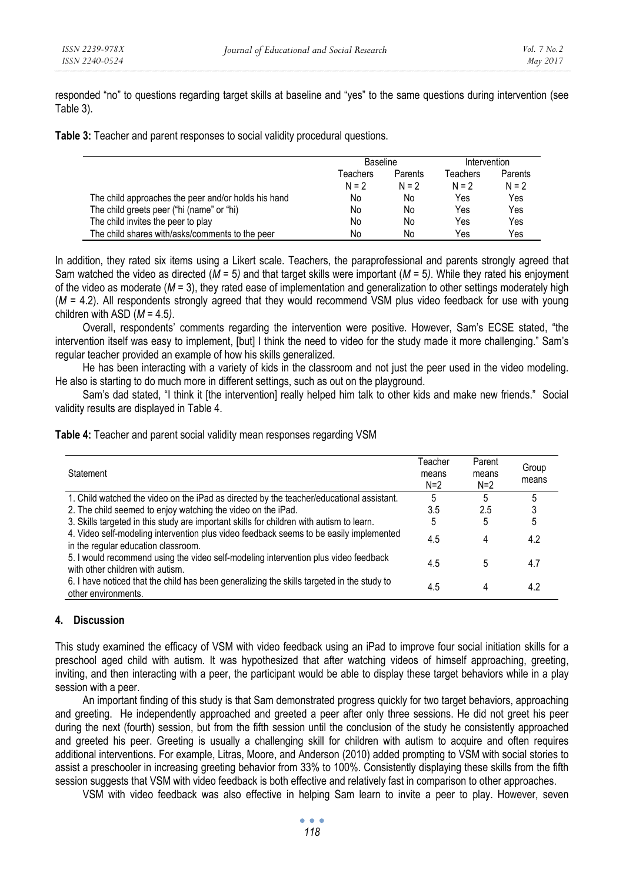responded "no" to questions regarding target skills at baseline and "yes" to the same questions during intervention (see Table 3).

**Table 3:** Teacher and parent responses to social validity procedural questions.

|                                                     | Baseline |         | Intervention |         |
|-----------------------------------------------------|----------|---------|--------------|---------|
|                                                     | Teachers | Parents | Teachers     | Parents |
|                                                     | $N = 2$  | $N = 2$ | $N = 2$      | $N = 2$ |
| The child approaches the peer and/or holds his hand | No       | No      | Yes          | Yes     |
| The child greets peer ("hi (name" or "hi)           | No       | No      | Yes          | Yes     |
| The child invites the peer to play                  | No       | No      | Yes          | Yes     |
| The child shares with/asks/comments to the peer     | No       | No      | Yes          | Yes     |

In addition, they rated six items using a Likert scale. Teachers, the paraprofessional and parents strongly agreed that Sam watched the video as directed (*M* = 5*)* and that target skills were important (*M* = 5*)*. While they rated his enjoyment of the video as moderate (*M* = 3), they rated ease of implementation and generalization to other settings moderately high (*M* = 4.2). All respondents strongly agreed that they would recommend VSM plus video feedback for use with young children with ASD (*M =* 4.5*)*.

Overall, respondents' comments regarding the intervention were positive. However, Sam's ECSE stated, "the intervention itself was easy to implement, [but] I think the need to video for the study made it more challenging." Sam's regular teacher provided an example of how his skills generalized.

He has been interacting with a variety of kids in the classroom and not just the peer used in the video modeling. He also is starting to do much more in different settings, such as out on the playground.

Sam's dad stated, "I think it [the intervention] really helped him talk to other kids and make new friends." Social validity results are displayed in Table 4.

| Statement                                                                                                                     | Teacher<br>means<br>$N=2$ | Parent<br>means<br>$N=2$ | Group<br>means |
|-------------------------------------------------------------------------------------------------------------------------------|---------------------------|--------------------------|----------------|
| 1. Child watched the video on the iPad as directed by the teacher/educational assistant.                                      | 5                         | 5                        | 5              |
| 2. The child seemed to enjoy watching the video on the iPad.                                                                  | 3.5                       | 2.5                      |                |
| 3. Skills targeted in this study are important skills for children with autism to learn.                                      | 5                         | 5                        |                |
| 4. Video self-modeling intervention plus video feedback seems to be easily implemented<br>in the regular education classroom. | 4.5                       | 4                        | 4.2            |
| 5. I would recommend using the video self-modeling intervention plus video feedback<br>with other children with autism.       | 4.5                       | 5                        | 4.7            |
| 6. I have noticed that the child has been generalizing the skills targeted in the study to<br>other environments.             | 4.5                       | 4                        | 42             |

**Table 4:** Teacher and parent social validity mean responses regarding VSM

### **4. Discussion**

This study examined the efficacy of VSM with video feedback using an iPad to improve four social initiation skills for a preschool aged child with autism. It was hypothesized that after watching videos of himself approaching, greeting, inviting, and then interacting with a peer, the participant would be able to display these target behaviors while in a play session with a peer.

An important finding of this study is that Sam demonstrated progress quickly for two target behaviors, approaching and greeting. He independently approached and greeted a peer after only three sessions. He did not greet his peer during the next (fourth) session, but from the fifth session until the conclusion of the study he consistently approached and greeted his peer. Greeting is usually a challenging skill for children with autism to acquire and often requires additional interventions. For example, Litras, Moore, and Anderson (2010) added prompting to VSM with social stories to assist a preschooler in increasing greeting behavior from 33% to 100%. Consistently displaying these skills from the fifth session suggests that VSM with video feedback is both effective and relatively fast in comparison to other approaches.

VSM with video feedback was also effective in helping Sam learn to invite a peer to play. However, seven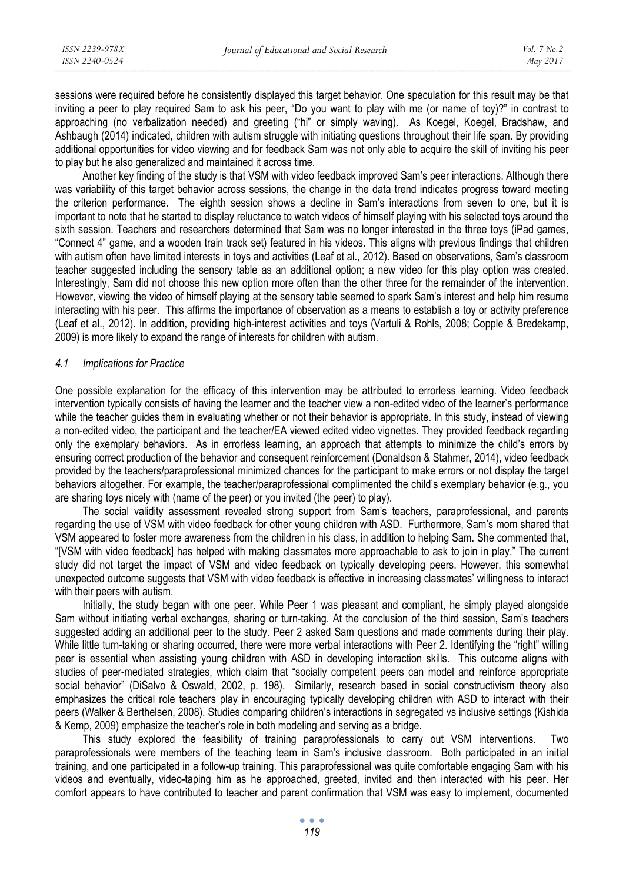sessions were required before he consistently displayed this target behavior. One speculation for this result may be that inviting a peer to play required Sam to ask his peer, "Do you want to play with me (or name of toy)?" in contrast to approaching (no verbalization needed) and greeting ("hi" or simply waving). As Koegel, Koegel, Bradshaw, and Ashbaugh (2014) indicated, children with autism struggle with initiating questions throughout their life span. By providing additional opportunities for video viewing and for feedback Sam was not only able to acquire the skill of inviting his peer to play but he also generalized and maintained it across time.

Another key finding of the study is that VSM with video feedback improved Sam's peer interactions. Although there was variability of this target behavior across sessions, the change in the data trend indicates progress toward meeting the criterion performance. The eighth session shows a decline in Sam's interactions from seven to one, but it is important to note that he started to display reluctance to watch videos of himself playing with his selected toys around the sixth session. Teachers and researchers determined that Sam was no longer interested in the three toys (iPad games, "Connect 4" game, and a wooden train track set) featured in his videos. This aligns with previous findings that children with autism often have limited interests in toys and activities (Leaf et al., 2012). Based on observations, Sam's classroom teacher suggested including the sensory table as an additional option; a new video for this play option was created. Interestingly, Sam did not choose this new option more often than the other three for the remainder of the intervention. However, viewing the video of himself playing at the sensory table seemed to spark Sam's interest and help him resume interacting with his peer. This affirms the importance of observation as a means to establish a toy or activity preference (Leaf et al., 2012). In addition, providing high-interest activities and toys (Vartuli & Rohls, 2008; Copple & Bredekamp, 2009) is more likely to expand the range of interests for children with autism.

### *4.1 Implications for Practice*

One possible explanation for the efficacy of this intervention may be attributed to errorless learning. Video feedback intervention typically consists of having the learner and the teacher view a non-edited video of the learner's performance while the teacher guides them in evaluating whether or not their behavior is appropriate. In this study, instead of viewing a non-edited video, the participant and the teacher/EA viewed edited video vignettes. They provided feedback regarding only the exemplary behaviors. As in errorless learning, an approach that attempts to minimize the child's errors by ensuring correct production of the behavior and consequent reinforcement (Donaldson & Stahmer, 2014), video feedback provided by the teachers/paraprofessional minimized chances for the participant to make errors or not display the target behaviors altogether. For example, the teacher/paraprofessional complimented the child's exemplary behavior (e.g., you are sharing toys nicely with (name of the peer) or you invited (the peer) to play).

The social validity assessment revealed strong support from Sam's teachers, paraprofessional, and parents regarding the use of VSM with video feedback for other young children with ASD. Furthermore, Sam's mom shared that VSM appeared to foster more awareness from the children in his class, in addition to helping Sam. She commented that, "[VSM with video feedback] has helped with making classmates more approachable to ask to join in play." The current study did not target the impact of VSM and video feedback on typically developing peers. However, this somewhat unexpected outcome suggests that VSM with video feedback is effective in increasing classmates' willingness to interact with their peers with autism.

Initially, the study began with one peer. While Peer 1 was pleasant and compliant, he simply played alongside Sam without initiating verbal exchanges, sharing or turn-taking. At the conclusion of the third session, Sam's teachers suggested adding an additional peer to the study. Peer 2 asked Sam questions and made comments during their play. While little turn-taking or sharing occurred, there were more verbal interactions with Peer 2. Identifying the "right" willing peer is essential when assisting young children with ASD in developing interaction skills. This outcome aligns with studies of peer-mediated strategies, which claim that "socially competent peers can model and reinforce appropriate social behavior" (DiSalvo & Oswald, 2002, p. 198). Similarly, research based in social constructivism theory also emphasizes the critical role teachers play in encouraging typically developing children with ASD to interact with their peers (Walker & Berthelsen, 2008). Studies comparing children's interactions in segregated vs inclusive settings (Kishida & Kemp, 2009) emphasize the teacher's role in both modeling and serving as a bridge.

This study explored the feasibility of training paraprofessionals to carry out VSM interventions. Two paraprofessionals were members of the teaching team in Sam's inclusive classroom. Both participated in an initial training, and one participated in a follow-up training. This paraprofessional was quite comfortable engaging Sam with his videos and eventually, video-taping him as he approached, greeted, invited and then interacted with his peer. Her comfort appears to have contributed to teacher and parent confirmation that VSM was easy to implement, documented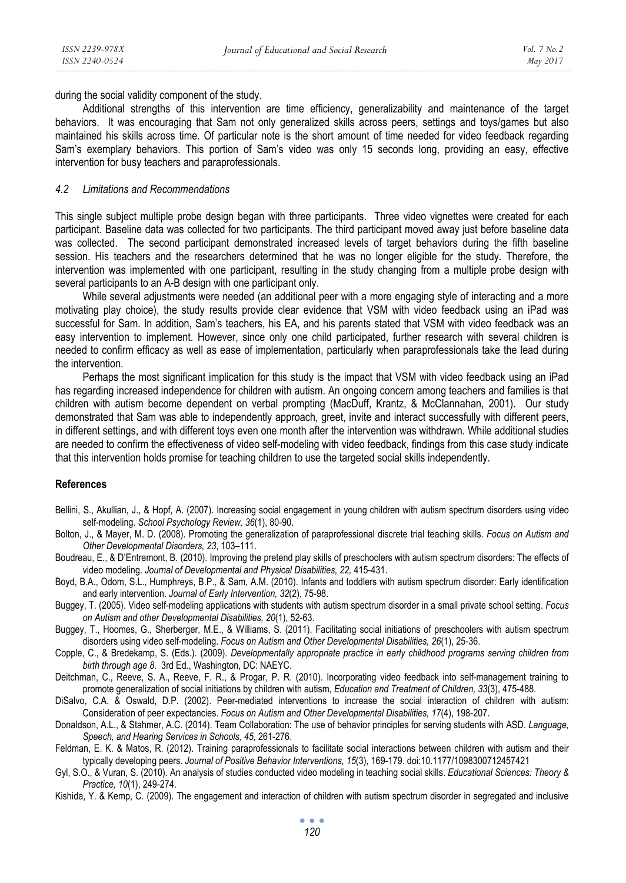during the social validity component of the study.

Additional strengths of this intervention are time efficiency, generalizability and maintenance of the target behaviors. It was encouraging that Sam not only generalized skills across peers, settings and toys/games but also maintained his skills across time. Of particular note is the short amount of time needed for video feedback regarding Sam's exemplary behaviors. This portion of Sam's video was only 15 seconds long, providing an easy, effective intervention for busy teachers and paraprofessionals.

### *4.2 Limitations and Recommendations*

This single subject multiple probe design began with three participants. Three video vignettes were created for each participant. Baseline data was collected for two participants. The third participant moved away just before baseline data was collected. The second participant demonstrated increased levels of target behaviors during the fifth baseline session. His teachers and the researchers determined that he was no longer eligible for the study. Therefore, the intervention was implemented with one participant, resulting in the study changing from a multiple probe design with several participants to an A-B design with one participant only.

While several adjustments were needed (an additional peer with a more engaging style of interacting and a more motivating play choice), the study results provide clear evidence that VSM with video feedback using an iPad was successful for Sam. In addition, Sam's teachers, his EA, and his parents stated that VSM with video feedback was an easy intervention to implement. However, since only one child participated, further research with several children is needed to confirm efficacy as well as ease of implementation, particularly when paraprofessionals take the lead during the intervention.

Perhaps the most significant implication for this study is the impact that VSM with video feedback using an iPad has regarding increased independence for children with autism. An ongoing concern among teachers and families is that children with autism become dependent on verbal prompting (MacDuff, Krantz, & McClannahan, 2001). Our study demonstrated that Sam was able to independently approach, greet, invite and interact successfully with different peers, in different settings, and with different toys even one month after the intervention was withdrawn. While additional studies are needed to confirm the effectiveness of video self-modeling with video feedback, findings from this case study indicate that this intervention holds promise for teaching children to use the targeted social skills independently.

## **References**

- Bellini, S., Akullian, J., & Hopf, A. (2007). Increasing social engagement in young children with autism spectrum disorders using video self-modeling. *School Psychology Review, 36*(1), 80-90.
- Bolton, J., & Mayer, M. D. (2008). Promoting the generalization of paraprofessional discrete trial teaching skills. *Focus on Autism and Other Developmental Disorders, 23*, 103–111.
- Boudreau, E., & D'Entremont, B. (2010). Improving the pretend play skills of preschoolers with autism spectrum disorders: The effects of video modeling. *Journal of Developmental and Physical Disabilities, 22,* 415-431.
- Boyd, B.A., Odom, S.L., Humphreys, B.P., & Sam, A.M. (2010). Infants and toddlers with autism spectrum disorder: Early identification and early intervention. *Journal of Early Intervention, 32*(2), 75-98.
- Buggey, T. (2005). Video self-modeling applications with students with autism spectrum disorder in a small private school setting. *Focus on Autism and other Developmental Disabilities, 20*(1), 52-63.
- Buggey, T., Hoomes, G., Sherberger, M.E., & Williams, S. (2011). Facilitating social initiations of preschoolers with autism spectrum disorders using video self-modeling. *Focus on Autism and Other Developmental Disabilities, 26*(1), 25-36.
- Copple, C., & Bredekamp, S. (Eds.). (2009). *Developmentally appropriate practice in early childhood programs serving children from birth through age 8*. 3rd Ed., Washington, DC: NAEYC.
- Deitchman, C., Reeve, S. A., Reeve, F. R., & Progar, P. R. (2010). Incorporating video feedback into self-management training to promote generalization of social initiations by children with autism, *Education and Treatment of Children, 33*(3), 475-488.
- DiSalvo, C.A. & Oswald, D.P. (2002). Peer-mediated interventions to increase the social interaction of children with autism: Consideration of peer expectancies. *Focus on Autism and Other Developmental Disabilities, 17*(4), 198-207.
- Donaldson, A.L., & Stahmer, A.C. (2014). Team Collaboration: The use of behavior principles for serving students with ASD. *Language, Speech, and Hearing Services in Schools, 45,* 261-276.
- Feldman, E. K. & Matos, R. (2012). Training paraprofessionals to facilitate social interactions between children with autism and their typically developing peers. *Journal of Positive Behavior Interventions, 15*(3), 169-179. doi:10.1177/1098300712457421
- Gyl, S.O., & Vuran, S. (2010). An analysis of studies conducted video modeling in teaching social skills. *Educational Sciences: Theory & Practice, 10*(1), 249-274.
- Kishida, Y. & Kemp, C. (2009). The engagement and interaction of children with autism spectrum disorder in segregated and inclusive